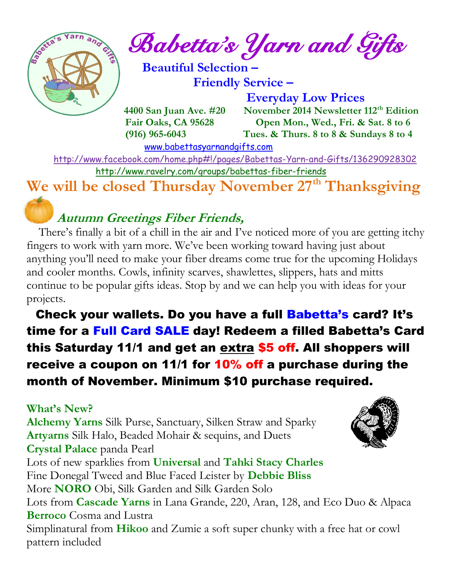

 $\int_{a}^{\frac{1}{2} \cdot \sqrt{2}} \frac{1}{a} \cdot \int_{a}^{a} B_{a} \cdot b$  etta's *Yarn and Gifts* 

 **Beautiful Selection – Friendly Service –**

 **Everyday Low Prices 4400 San Juan Ave. #20 November 2014 Newsletter 112th Edition Fair Oaks, CA 95628 Open Mon., Wed., Fri. & Sat. 8 to 6 (916) 965-6043 Tues. & Thurs. 8 to 8 & Sundays 8 to 4** 

[www.babettasyarnandgifts.com](http://www.babettasyarnandgifts.com/)

 <http://www.facebook.com/home.php#!/pages/Babettas-Yarn-and-Gifts/136290928302> <http://www.ravelry.com/groups/babettas-fiber-friends>

**We will be closed Thursday November 27th Thanksgiving**

# **Autumn Greetings Fiber Friends,**

 There's finally a bit of a chill in the air and I've noticed more of you are getting itchy fingers to work with yarn more. We've been working toward having just about anything you'll need to make your fiber dreams come true for the upcoming Holidays and cooler months. Cowls, infinity scarves, shawlettes, slippers, hats and mitts continue to be popular gifts ideas. Stop by and we can help you with ideas for your projects.

 Check your wallets. Do you have a full Babetta's card? It's time for a Full Card SALE day! Redeem a filled Babetta's Card this Saturday 11/1 and get an extra \$5 off. All shoppers will receive a coupon on 11/1 for 10% off a purchase during the month of November. Minimum \$10 purchase required.

### **What's New?**

**Alchemy Yarns** Silk Purse, Sanctuary, Silken Straw and Sparky **Artyarns** Silk Halo, Beaded Mohair & sequins, and Duets **Crystal Palace** panda Pearl Lots of new sparklies from **Universal** and **Tahki Stacy Charles**



Fine Donegal Tweed and Blue Faced Leister by **Debbie Bliss** More **NORO** Obi, Silk Garden and Silk Garden Solo Lots from **Cascade Yarns** in Lana Grande, 220, Aran, 128, and Eco Duo & Alpaca **Berroco** Cosma and Lustra Simplinatural from **Hikoo** and Zumie a soft super chunky with a free hat or cowl pattern included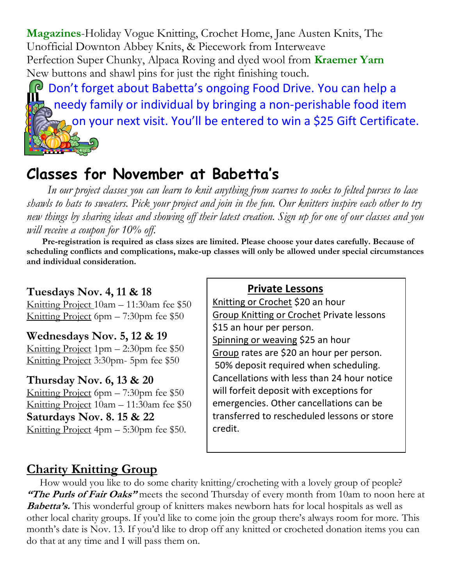**Magazines**-Holiday Vogue Knitting, Crochet Home, Jane Austen Knits, The Unofficial Downton Abbey Knits, & Piecework from Interweave Perfection Super Chunky, Alpaca Roving and dyed wool from **Kraemer Yarn** New buttons and shawl pins for just the right finishing touch.

P Don't forget about Babetta's ongoing Food Drive. You can help a needy family or individual by bringing a non-perishable food item on your next visit. You'll be entered to win a \$25 Gift Certificate.

## **Classes for November at Babetta's**

 *In our project classes you can learn to knit anything from scarves to socks to felted purses to lace shawls to hats to sweaters. Pick your project and join in the fun. Our knitters inspire each other to try new things by sharing ideas and showing off their latest creation. Sign up for one of our classes and you will receive a coupon for 10% off.*

 **Pre-registration is required as class sizes are limited. Please choose your dates carefully. Because of scheduling conflicts and complications, make-up classes will only be allowed under special circumstances and individual consideration.**

#### **Tuesdays Nov. 4, 11 & 18**

Knitting Project 10am – 11:30am fee \$50 Knitting Project 6pm – 7:30pm fee \$50

#### **Wednesdays Nov. 5, 12 & 19**

Knitting Project 1pm – 2:30pm fee \$50 Knitting Project 3:30pm- 5pm fee \$50

#### **Thursday Nov. 6, 13 & 20**

Knitting Project 6pm – 7:30pm fee \$50 Knitting Project 10am – 11:30am fee \$50 **Saturdays Nov. 8. 15 & 22** Knitting Project 4pm – 5:30pm fee \$50.

#### **Private Lessons**

Knitting or Crochet \$20 an hour Group Knitting or Crochet Private lessons \$15 an hour per person. Spinning or weaving \$25 an hour Group rates are \$20 an hour per person. 50% deposit required when scheduling. Cancellations with less than 24 hour notice will forfeit deposit with exceptions for emergencies. Other cancellations can be transferred to rescheduled lessons or store credit.

### **Charity Knitting Group**

 How would you like to do some charity knitting/crocheting with a lovely group of people? **"The Purls of Fair Oaks"** meets the second Thursday of every month from 10am to noon here at **Babetta's.** This wonderful group of knitters makes newborn hats for local hospitals as well as other local charity groups. If you'd like to come join the group there's always room for more. This month's date is Nov. 13. If you'd like to drop off any knitted or crocheted donation items you can do that at any time and I will pass them on.